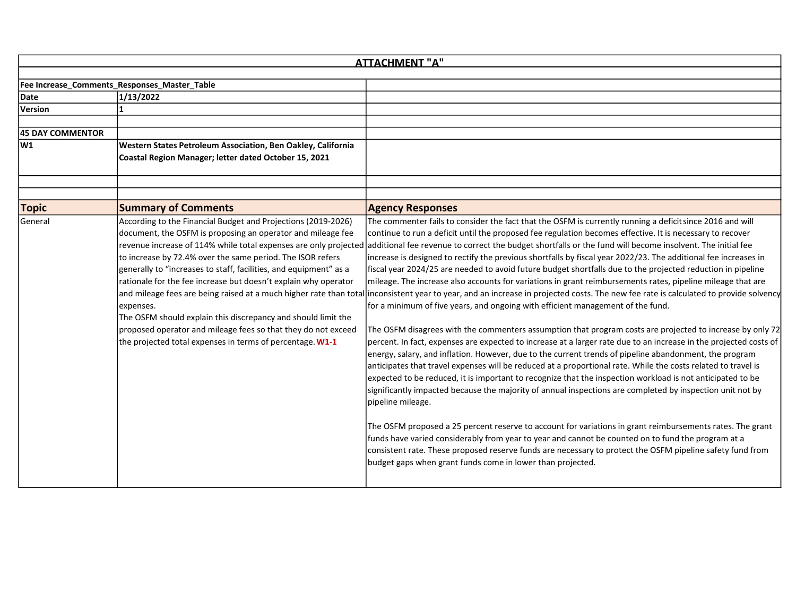|                         | <b>ATTACHMENT "A"</b>                                                                                                                                                                                                                                                                                                                                                                                                                                                                                                                                                                                              |                                                                                                                                                                                                                                                                                                                                                                                                                                                                                                                                                                                                                                                                                                                                                                                                                                                                                                                                                                                                                                                                                                                                                                                                                                                                                                                                                                                                                                                                                                                                                                                                                                                                                                                                                                                                                                                                                                                                                                                                                                                                             |  |  |
|-------------------------|--------------------------------------------------------------------------------------------------------------------------------------------------------------------------------------------------------------------------------------------------------------------------------------------------------------------------------------------------------------------------------------------------------------------------------------------------------------------------------------------------------------------------------------------------------------------------------------------------------------------|-----------------------------------------------------------------------------------------------------------------------------------------------------------------------------------------------------------------------------------------------------------------------------------------------------------------------------------------------------------------------------------------------------------------------------------------------------------------------------------------------------------------------------------------------------------------------------------------------------------------------------------------------------------------------------------------------------------------------------------------------------------------------------------------------------------------------------------------------------------------------------------------------------------------------------------------------------------------------------------------------------------------------------------------------------------------------------------------------------------------------------------------------------------------------------------------------------------------------------------------------------------------------------------------------------------------------------------------------------------------------------------------------------------------------------------------------------------------------------------------------------------------------------------------------------------------------------------------------------------------------------------------------------------------------------------------------------------------------------------------------------------------------------------------------------------------------------------------------------------------------------------------------------------------------------------------------------------------------------------------------------------------------------------------------------------------------------|--|--|
|                         | Fee Increase_Comments_Responses_Master_Table                                                                                                                                                                                                                                                                                                                                                                                                                                                                                                                                                                       |                                                                                                                                                                                                                                                                                                                                                                                                                                                                                                                                                                                                                                                                                                                                                                                                                                                                                                                                                                                                                                                                                                                                                                                                                                                                                                                                                                                                                                                                                                                                                                                                                                                                                                                                                                                                                                                                                                                                                                                                                                                                             |  |  |
| Date                    | 1/13/2022                                                                                                                                                                                                                                                                                                                                                                                                                                                                                                                                                                                                          |                                                                                                                                                                                                                                                                                                                                                                                                                                                                                                                                                                                                                                                                                                                                                                                                                                                                                                                                                                                                                                                                                                                                                                                                                                                                                                                                                                                                                                                                                                                                                                                                                                                                                                                                                                                                                                                                                                                                                                                                                                                                             |  |  |
| Version                 |                                                                                                                                                                                                                                                                                                                                                                                                                                                                                                                                                                                                                    |                                                                                                                                                                                                                                                                                                                                                                                                                                                                                                                                                                                                                                                                                                                                                                                                                                                                                                                                                                                                                                                                                                                                                                                                                                                                                                                                                                                                                                                                                                                                                                                                                                                                                                                                                                                                                                                                                                                                                                                                                                                                             |  |  |
|                         |                                                                                                                                                                                                                                                                                                                                                                                                                                                                                                                                                                                                                    |                                                                                                                                                                                                                                                                                                                                                                                                                                                                                                                                                                                                                                                                                                                                                                                                                                                                                                                                                                                                                                                                                                                                                                                                                                                                                                                                                                                                                                                                                                                                                                                                                                                                                                                                                                                                                                                                                                                                                                                                                                                                             |  |  |
| <b>45 DAY COMMENTOR</b> |                                                                                                                                                                                                                                                                                                                                                                                                                                                                                                                                                                                                                    |                                                                                                                                                                                                                                                                                                                                                                                                                                                                                                                                                                                                                                                                                                                                                                                                                                                                                                                                                                                                                                                                                                                                                                                                                                                                                                                                                                                                                                                                                                                                                                                                                                                                                                                                                                                                                                                                                                                                                                                                                                                                             |  |  |
| lw1                     | Western States Petroleum Association, Ben Oakley, California<br>Coastal Region Manager; letter dated October 15, 2021                                                                                                                                                                                                                                                                                                                                                                                                                                                                                              |                                                                                                                                                                                                                                                                                                                                                                                                                                                                                                                                                                                                                                                                                                                                                                                                                                                                                                                                                                                                                                                                                                                                                                                                                                                                                                                                                                                                                                                                                                                                                                                                                                                                                                                                                                                                                                                                                                                                                                                                                                                                             |  |  |
|                         |                                                                                                                                                                                                                                                                                                                                                                                                                                                                                                                                                                                                                    |                                                                                                                                                                                                                                                                                                                                                                                                                                                                                                                                                                                                                                                                                                                                                                                                                                                                                                                                                                                                                                                                                                                                                                                                                                                                                                                                                                                                                                                                                                                                                                                                                                                                                                                                                                                                                                                                                                                                                                                                                                                                             |  |  |
| <b>Topic</b>            | <b>Summary of Comments</b>                                                                                                                                                                                                                                                                                                                                                                                                                                                                                                                                                                                         | <b>Agency Responses</b>                                                                                                                                                                                                                                                                                                                                                                                                                                                                                                                                                                                                                                                                                                                                                                                                                                                                                                                                                                                                                                                                                                                                                                                                                                                                                                                                                                                                                                                                                                                                                                                                                                                                                                                                                                                                                                                                                                                                                                                                                                                     |  |  |
| General                 | According to the Financial Budget and Projections (2019-2026)<br>document, the OSFM is proposing an operator and mileage fee<br>revenue increase of 114% while total expenses are only projected<br>to increase by 72.4% over the same period. The ISOR refers<br>generally to "increases to staff, facilities, and equipment" as a<br>rationale for the fee increase but doesn't explain why operator<br>expenses.<br>The OSFM should explain this discrepancy and should limit the<br>proposed operator and mileage fees so that they do not exceed<br>the projected total expenses in terms of percentage. W1-1 | The commenter fails to consider the fact that the OSFM is currently running a deficit since 2016 and will<br>continue to run a deficit until the proposed fee regulation becomes effective. It is necessary to recover<br>additional fee revenue to correct the budget shortfalls or the fund will become insolvent. The initial fee<br>increase is designed to rectify the previous shortfalls by fiscal year 2022/23. The additional fee increases in<br>fiscal year 2024/25 are needed to avoid future budget shortfalls due to the projected reduction in pipeline<br>mileage. The increase also accounts for variations in grant reimbursements rates, pipeline mileage that are<br>and mileage fees are being raised at a much higher rate than total inconsistent year to year, and an increase in projected costs. The new fee rate is calculated to provide solvency<br>for a minimum of five years, and ongoing with efficient management of the fund.<br>The OSFM disagrees with the commenters assumption that program costs are projected to increase by only 72<br>percent. In fact, expenses are expected to increase at a larger rate due to an increase in the projected costs of<br>energy, salary, and inflation. However, due to the current trends of pipeline abandonment, the program<br>anticipates that travel expenses will be reduced at a proportional rate. While the costs related to travel is<br>expected to be reduced, it is important to recognize that the inspection workload is not anticipated to be<br>significantly impacted because the majority of annual inspections are completed by inspection unit not by<br>pipeline mileage.<br>The OSFM proposed a 25 percent reserve to account for variations in grant reimbursements rates. The grant<br>funds have varied considerably from year to year and cannot be counted on to fund the program at a<br>consistent rate. These proposed reserve funds are necessary to protect the OSFM pipeline safety fund from<br>budget gaps when grant funds come in lower than projected. |  |  |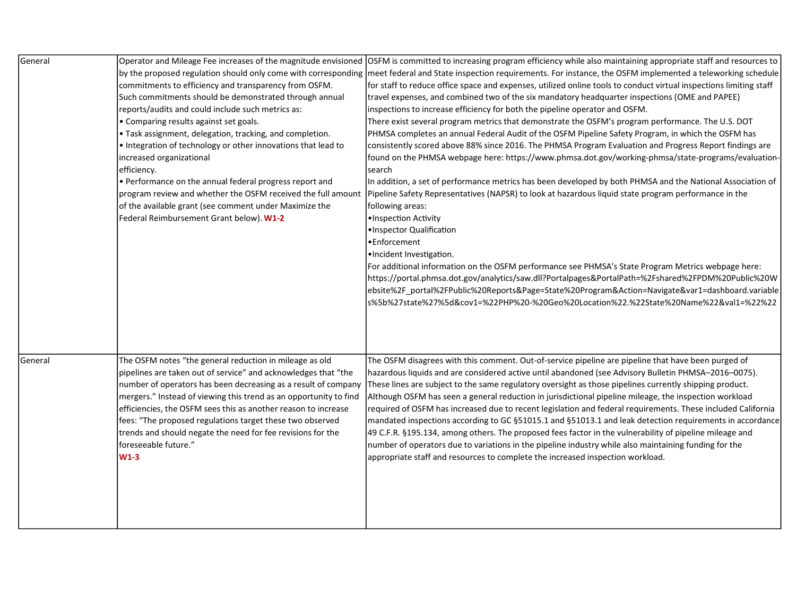| General |                                                                   | Operator and Mileage Fee increases of the magnitude envisioned OSFM is committed to increasing program efficiency while also maintaining appropriate staff and resources to |
|---------|-------------------------------------------------------------------|-----------------------------------------------------------------------------------------------------------------------------------------------------------------------------|
|         |                                                                   | by the proposed regulation should only come with corresponding  meet federal and State inspection requirements. For instance, the OSFM implemented a teleworking schedule   |
|         | commitments to efficiency and transparency from OSFM.             | for staff to reduce office space and expenses, utilized online tools to conduct virtual inspections limiting staff                                                          |
|         | Such commitments should be demonstrated through annual            | travel expenses, and combined two of the six mandatory headquarter inspections (OME and PAPEE)                                                                              |
|         | reports/audits and could include such metrics as:                 | inspections to increase efficiency for both the pipeline operator and OSFM.                                                                                                 |
|         | • Comparing results against set goals.                            | There exist several program metrics that demonstrate the OSFM's program performance. The U.S. DOT                                                                           |
|         | · Task assignment, delegation, tracking, and completion.          | PHMSA completes an annual Federal Audit of the OSFM Pipeline Safety Program, in which the OSFM has                                                                          |
|         | . Integration of technology or other innovations that lead to     | consistently scored above 88% since 2016. The PHMSA Program Evaluation and Progress Report findings are                                                                     |
|         | increased organizational                                          | found on the PHMSA webpage here: https://www.phmsa.dot.gov/working-phmsa/state-programs/evaluation-                                                                         |
|         | efficiency.                                                       | search                                                                                                                                                                      |
|         | • Performance on the annual federal progress report and           | In addition, a set of performance metrics has been developed by both PHMSA and the National Association of                                                                  |
|         | program review and whether the OSFM received the full amount      | Pipeline Safety Representatives (NAPSR) to look at hazardous liquid state program performance in the                                                                        |
|         | of the available grant (see comment under Maximize the            | following areas:                                                                                                                                                            |
|         | Federal Reimbursement Grant below). W1-2                          | ·Inspection Activity                                                                                                                                                        |
|         |                                                                   | ·Inspector Qualification                                                                                                                                                    |
|         |                                                                   | •Enforcement                                                                                                                                                                |
|         |                                                                   | .Incident Investigation.                                                                                                                                                    |
|         |                                                                   | For additional information on the OSFM performance see PHMSA's State Program Metrics webpage here:                                                                          |
|         |                                                                   | https://portal.phmsa.dot.gov/analytics/saw.dll?Portalpages&PortalPath=%2Fshared%2FPDM%20Public%20W                                                                          |
|         |                                                                   | ebsite%2F_portal%2FPublic%20Reports&Page=State%20Program&Action=Navigate&var1=dashboard.variable                                                                            |
|         |                                                                   | s%5b%27state%27%5d&cov1=%22PHP%20-%20Geo%20Location%22.%22State%20Name%22&val1=%22%22                                                                                       |
|         |                                                                   |                                                                                                                                                                             |
|         |                                                                   |                                                                                                                                                                             |
|         |                                                                   |                                                                                                                                                                             |
|         |                                                                   |                                                                                                                                                                             |
| General | The OSFM notes "the general reduction in mileage as old           | The OSFM disagrees with this comment. Out-of-service pipeline are pipeline that have been purged of                                                                         |
|         | pipelines are taken out of service" and acknowledges that "the    | hazardous liquids and are considered active until abandoned (see Advisory Bulletin PHMSA-2016-0075).                                                                        |
|         | number of operators has been decreasing as a result of company    | These lines are subject to the same regulatory oversight as those pipelines currently shipping product.                                                                     |
|         | mergers." Instead of viewing this trend as an opportunity to find | Although OSFM has seen a general reduction in jurisdictional pipeline mileage, the inspection workload                                                                      |
|         | efficiencies, the OSFM sees this as another reason to increase    | required of OSFM has increased due to recent legislation and federal requirements. These included California                                                                |
|         | fees: "The proposed regulations target these two observed         | mandated inspections according to GC §51015.1 and §51013.1 and leak detection requirements in accordance                                                                    |
|         | trends and should negate the need for fee revisions for the       | 49 C.F.R. §195.134, among others. The proposed fees factor in the vulnerability of pipeline mileage and                                                                     |
|         | foreseeable future."                                              | number of operators due to variations in the pipeline industry while also maintaining funding for the                                                                       |
|         | $W1-3$                                                            | appropriate staff and resources to complete the increased inspection workload.                                                                                              |
|         |                                                                   |                                                                                                                                                                             |
|         |                                                                   |                                                                                                                                                                             |
|         |                                                                   |                                                                                                                                                                             |
|         |                                                                   |                                                                                                                                                                             |
|         |                                                                   |                                                                                                                                                                             |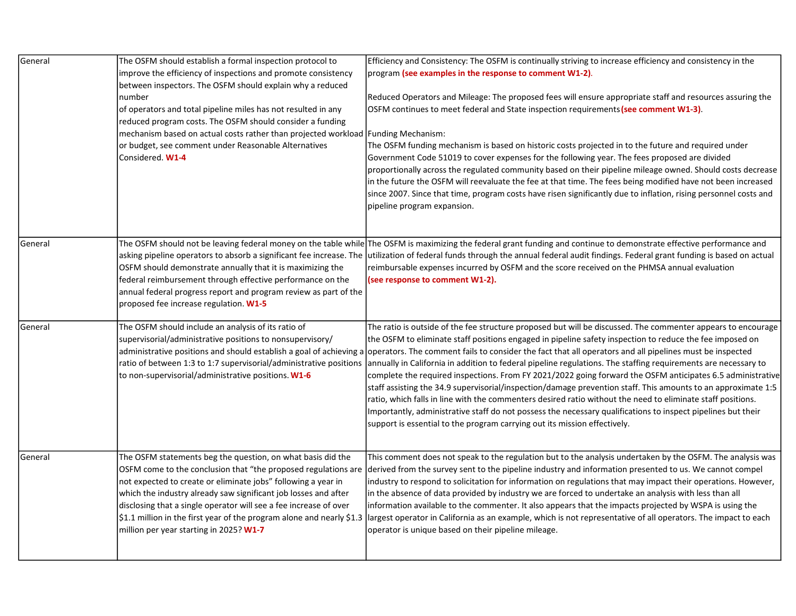| General | The OSFM should establish a formal inspection protocol to<br>improve the efficiency of inspections and promote consistency<br>between inspectors. The OSFM should explain why a reduced<br>number<br>of operators and total pipeline miles has not resulted in any<br>reduced program costs. The OSFM should consider a funding<br>mechanism based on actual costs rather than projected workload   Funding Mechanism:<br>or budget, see comment under Reasonable Alternatives<br>Considered. W1-4 | Efficiency and Consistency: The OSFM is continually striving to increase efficiency and consistency in the<br>program (see examples in the response to comment W1-2).<br>Reduced Operators and Mileage: The proposed fees will ensure appropriate staff and resources assuring the<br>OSFM continues to meet federal and State inspection requirements (see comment W1-3).<br>The OSFM funding mechanism is based on historic costs projected in to the future and required under<br>Government Code 51019 to cover expenses for the following year. The fees proposed are divided<br>proportionally across the regulated community based on their pipeline mileage owned. Should costs decrease<br>in the future the OSFM will reevaluate the fee at that time. The fees being modified have not been increased<br>since 2007. Since that time, program costs have risen significantly due to inflation, rising personnel costs and<br>pipeline program expansion.                                                                                                                                                                       |
|---------|----------------------------------------------------------------------------------------------------------------------------------------------------------------------------------------------------------------------------------------------------------------------------------------------------------------------------------------------------------------------------------------------------------------------------------------------------------------------------------------------------|-------------------------------------------------------------------------------------------------------------------------------------------------------------------------------------------------------------------------------------------------------------------------------------------------------------------------------------------------------------------------------------------------------------------------------------------------------------------------------------------------------------------------------------------------------------------------------------------------------------------------------------------------------------------------------------------------------------------------------------------------------------------------------------------------------------------------------------------------------------------------------------------------------------------------------------------------------------------------------------------------------------------------------------------------------------------------------------------------------------------------------------------|
| General | OSFM should demonstrate annually that it is maximizing the<br>federal reimbursement through effective performance on the<br>annual federal progress report and program review as part of the<br>proposed fee increase regulation. W1-5                                                                                                                                                                                                                                                             | The OSFM should not be leaving federal money on the table while The OSFM is maximizing the federal grant funding and continue to demonstrate effective performance and<br>asking pipeline operators to absorb a significant fee increase. The utilization of federal funds through the annual federal audit findings. Federal grant funding is based on actual<br>reimbursable expenses incurred by OSFM and the score received on the PHMSA annual evaluation<br>(see response to comment W1-2).                                                                                                                                                                                                                                                                                                                                                                                                                                                                                                                                                                                                                                         |
| General | The OSFM should include an analysis of its ratio of<br>supervisorial/administrative positions to nonsupervisory/<br>to non-supervisorial/administrative positions. W1-6                                                                                                                                                                                                                                                                                                                            | The ratio is outside of the fee structure proposed but will be discussed. The commenter appears to encourage<br>the OSFM to eliminate staff positions engaged in pipeline safety inspection to reduce the fee imposed on<br>administrative positions and should establish a goal of achieving a operators. The comment fails to consider the fact that all operators and all pipelines must be inspected<br>ratio of between 1:3 to 1:7 supervisorial/administrative positions  annually in California in addition to federal pipeline regulations. The staffing requirements are necessary to<br>complete the required inspections. From FY 2021/2022 going forward the OSFM anticipates 6.5 administrative<br>staff assisting the 34.9 supervisorial/inspection/damage prevention staff. This amounts to an approximate 1:5<br>ratio, which falls in line with the commenters desired ratio without the need to eliminate staff positions.<br>Importantly, administrative staff do not possess the necessary qualifications to inspect pipelines but their<br>support is essential to the program carrying out its mission effectively. |
| General | The OSFM statements beg the question, on what basis did the<br>OSFM come to the conclusion that "the proposed regulations are<br>not expected to create or eliminate jobs" following a year in<br>which the industry already saw significant job losses and after<br>disclosing that a single operator will see a fee increase of over<br>\$1.1 million in the first year of the program alone and nearly \$1.3<br>million per year starting in 2025? W1-7                                         | This comment does not speak to the regulation but to the analysis undertaken by the OSFM. The analysis was<br>derived from the survey sent to the pipeline industry and information presented to us. We cannot compel<br>industry to respond to solicitation for information on regulations that may impact their operations. However,<br>in the absence of data provided by industry we are forced to undertake an analysis with less than all<br>information available to the commenter. It also appears that the impacts projected by WSPA is using the<br>largest operator in California as an example, which is not representative of all operators. The impact to each<br>operator is unique based on their pipeline mileage.                                                                                                                                                                                                                                                                                                                                                                                                       |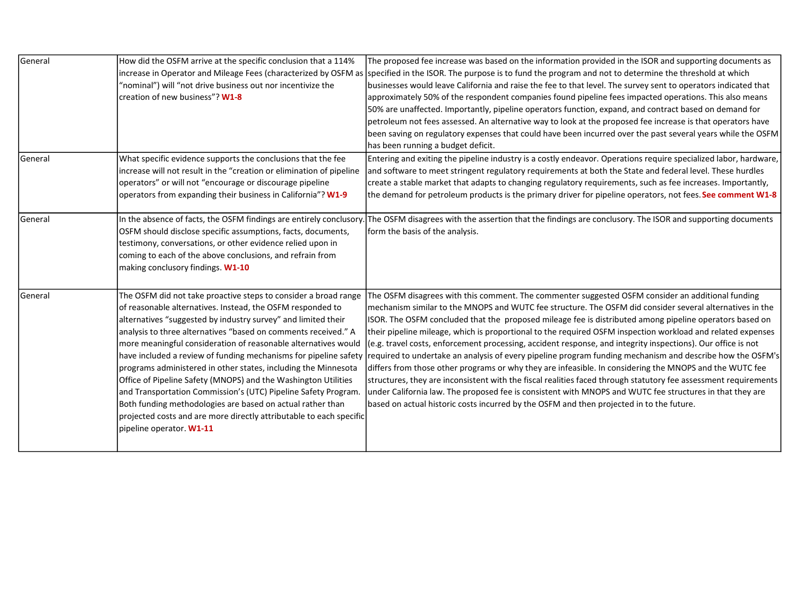| General        | How did the OSFM arrive at the specific conclusion that a 114%<br>"nominal") will "not drive business out nor incentivize the<br>creation of new business"? W1-8                                                                                                                                                                                                                                                                                                                                                                                                                                                                                                                                                                                                              | The proposed fee increase was based on the information provided in the ISOR and supporting documents as<br>increase in Operator and Mileage Fees (characterized by OSFM as Specified in the ISOR. The purpose is to fund the program and not to determine the threshold at which<br>businesses would leave California and raise the fee to that level. The survey sent to operators indicated that<br>approximately 50% of the respondent companies found pipeline fees impacted operations. This also means<br>50% are unaffected. Importantly, pipeline operators function, expand, and contract based on demand for<br>petroleum not fees assessed. An alternative way to look at the proposed fee increase is that operators have<br>been saving on regulatory expenses that could have been incurred over the past several years while the OSFM<br>has been running a budget deficit.                                                                                                                                                                                                                 |
|----------------|-------------------------------------------------------------------------------------------------------------------------------------------------------------------------------------------------------------------------------------------------------------------------------------------------------------------------------------------------------------------------------------------------------------------------------------------------------------------------------------------------------------------------------------------------------------------------------------------------------------------------------------------------------------------------------------------------------------------------------------------------------------------------------|------------------------------------------------------------------------------------------------------------------------------------------------------------------------------------------------------------------------------------------------------------------------------------------------------------------------------------------------------------------------------------------------------------------------------------------------------------------------------------------------------------------------------------------------------------------------------------------------------------------------------------------------------------------------------------------------------------------------------------------------------------------------------------------------------------------------------------------------------------------------------------------------------------------------------------------------------------------------------------------------------------------------------------------------------------------------------------------------------------|
| <b>General</b> | What specific evidence supports the conclusions that the fee<br>increase will not result in the "creation or elimination of pipeline<br>operators" or will not "encourage or discourage pipeline<br>operators from expanding their business in California"? W1-9                                                                                                                                                                                                                                                                                                                                                                                                                                                                                                              | Entering and exiting the pipeline industry is a costly endeavor. Operations require specialized labor, hardware,<br>and software to meet stringent regulatory requirements at both the State and federal level. These hurdles<br>create a stable market that adapts to changing regulatory requirements, such as fee increases. Importantly,<br>the demand for petroleum products is the primary driver for pipeline operators, not fees. See comment W1-8                                                                                                                                                                                                                                                                                                                                                                                                                                                                                                                                                                                                                                                 |
| General        | In the absence of facts, the OSFM findings are entirely conclusory.<br>OSFM should disclose specific assumptions, facts, documents,<br>testimony, conversations, or other evidence relied upon in<br>coming to each of the above conclusions, and refrain from<br>making conclusory findings. W1-10                                                                                                                                                                                                                                                                                                                                                                                                                                                                           | The OSFM disagrees with the assertion that the findings are conclusory. The ISOR and supporting documents<br>form the basis of the analysis.                                                                                                                                                                                                                                                                                                                                                                                                                                                                                                                                                                                                                                                                                                                                                                                                                                                                                                                                                               |
| General        | The OSFM did not take proactive steps to consider a broad range<br>of reasonable alternatives. Instead, the OSFM responded to<br>alternatives "suggested by industry survey" and limited their<br>analysis to three alternatives "based on comments received." A<br>more meaningful consideration of reasonable alternatives would<br>have included a review of funding mechanisms for pipeline safety<br>programs administered in other states, including the Minnesota<br>Office of Pipeline Safety (MNOPS) and the Washington Utilities<br>and Transportation Commission's (UTC) Pipeline Safety Program.<br>Both funding methodologies are based on actual rather than<br>projected costs and are more directly attributable to each specific<br>pipeline operator. W1-11 | The OSFM disagrees with this comment. The commenter suggested OSFM consider an additional funding<br>mechanism similar to the MNOPS and WUTC fee structure. The OSFM did consider several alternatives in the<br>ISOR. The OSFM concluded that the proposed mileage fee is distributed among pipeline operators based on<br>their pipeline mileage, which is proportional to the required OSFM inspection workload and related expenses<br>(e.g. travel costs, enforcement processing, accident response, and integrity inspections). Our office is not<br>required to undertake an analysis of every pipeline program funding mechanism and describe how the OSFM's<br>differs from those other programs or why they are infeasible. In considering the MNOPS and the WUTC fee<br>structures, they are inconsistent with the fiscal realities faced through statutory fee assessment requirements<br>under California law. The proposed fee is consistent with MNOPS and WUTC fee structures in that they are<br>based on actual historic costs incurred by the OSFM and then projected in to the future. |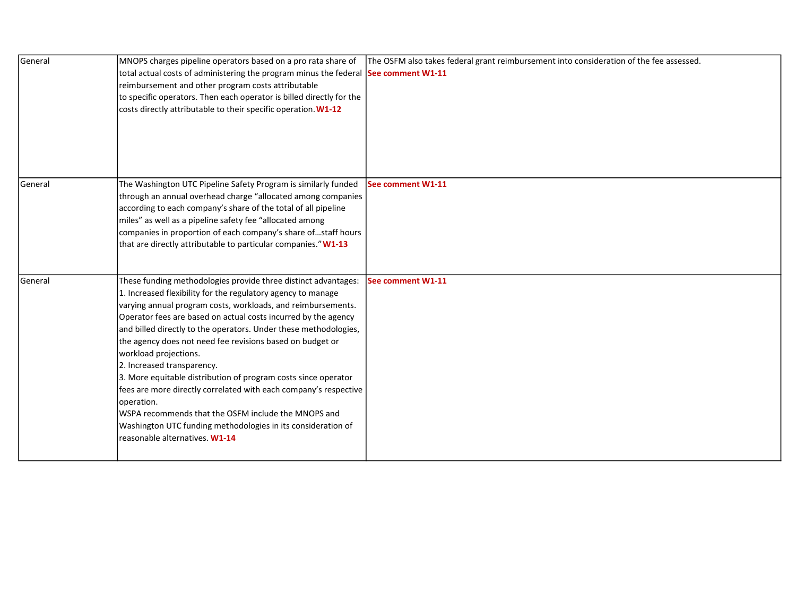| General | MNOPS charges pipeline operators based on a pro rata share of<br>total actual costs of administering the program minus the federal See comment W1-11<br>reimbursement and other program costs attributable<br>to specific operators. Then each operator is billed directly for the<br>costs directly attributable to their specific operation. W1-12                                                                                                                                                                                                                                                                                                                                                                                                                  | The OSFM also takes federal grant reimbursement into consideration of the fee assessed. |
|---------|-----------------------------------------------------------------------------------------------------------------------------------------------------------------------------------------------------------------------------------------------------------------------------------------------------------------------------------------------------------------------------------------------------------------------------------------------------------------------------------------------------------------------------------------------------------------------------------------------------------------------------------------------------------------------------------------------------------------------------------------------------------------------|-----------------------------------------------------------------------------------------|
| General | The Washington UTC Pipeline Safety Program is similarly funded                                                                                                                                                                                                                                                                                                                                                                                                                                                                                                                                                                                                                                                                                                        | See comment W1-11                                                                       |
|         | through an annual overhead charge "allocated among companies<br>according to each company's share of the total of all pipeline<br>miles" as well as a pipeline safety fee "allocated among<br>companies in proportion of each company's share ofstaff hours<br>that are directly attributable to particular companies." W1-13                                                                                                                                                                                                                                                                                                                                                                                                                                         |                                                                                         |
| General | These funding methodologies provide three distinct advantages:<br>1. Increased flexibility for the regulatory agency to manage<br>varying annual program costs, workloads, and reimbursements.<br>Operator fees are based on actual costs incurred by the agency<br>and billed directly to the operators. Under these methodologies,<br>the agency does not need fee revisions based on budget or<br>workload projections.<br>2. Increased transparency.<br>3. More equitable distribution of program costs since operator<br>fees are more directly correlated with each company's respective<br>operation.<br>WSPA recommends that the OSFM include the MNOPS and<br>Washington UTC funding methodologies in its consideration of<br>reasonable alternatives. W1-14 | See comment W1-11                                                                       |